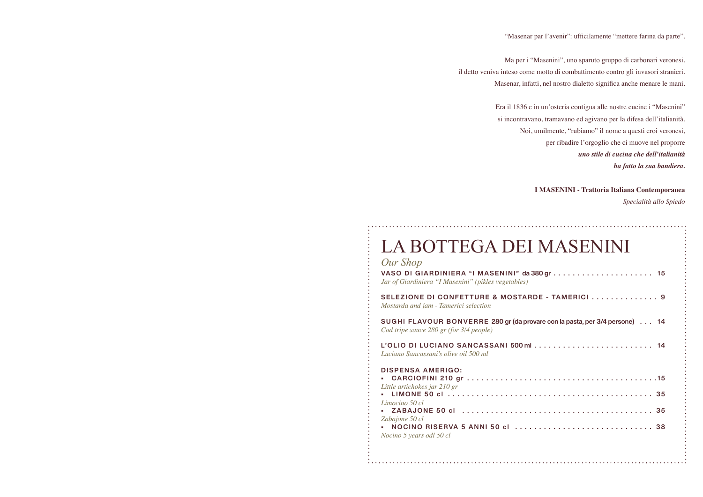Ma per i "Masenini", uno sparuto gruppo di carbonari veronesi, il detto veniva inteso come motto di combattimento contro gli invasori stranieri. Masenar, infatti, nel nostro dialetto significa anche menare le mani.

### LA BOTTEGA DEI

Era il 1836 e in un'osteria contigua alle nostre cucine i "Masenini" si incontravano, tramavano ed agivano per la difesa dell'italianità. Noi, umilmente, "rubiamo" il nome a questi eroi veronesi, per ribadire l'orgoglio che ci muove nel proporre *uno stile di cucina che dell'italianità ha fatto la sua bandiera.*

**I MASENINI - Trattoria Italiana Contemporanea** *Specialità allo Spiedo*

| Our Shop                                            | LA BOTTEGA DEI MASENINI                                                     |
|-----------------------------------------------------|-----------------------------------------------------------------------------|
| Jar of Giardiniera "I Masenini" (pikles vegetables) |                                                                             |
| Mostarda and jam - Tamerici selection               | SELEZIONE DI CONFETTURE & MOSTARDE - TAMERICI  9                            |
| Cod tripe sauce 280 gr (for 3/4 people)             | SUGHI FLAVOUR BONVERRE 280 gr (da provare con la pasta, per 3/4 persone) 14 |
| Luciano Sancassani's olive oil 500 ml               | L'OLIO DI LUCIANO SANCASSANI 500 ml  14                                     |
| <b>DISPENSA AMERIGO:</b>                            |                                                                             |
| Little artichokes jar 210 gr                        |                                                                             |
| Limocino 50 cl                                      |                                                                             |
| Zabajone 50 cl                                      |                                                                             |
| Nocino 5 years odl 50 cl                            |                                                                             |
|                                                     |                                                                             |

"Masenar par l'avenir": ufficilamente "mettere farina da parte".